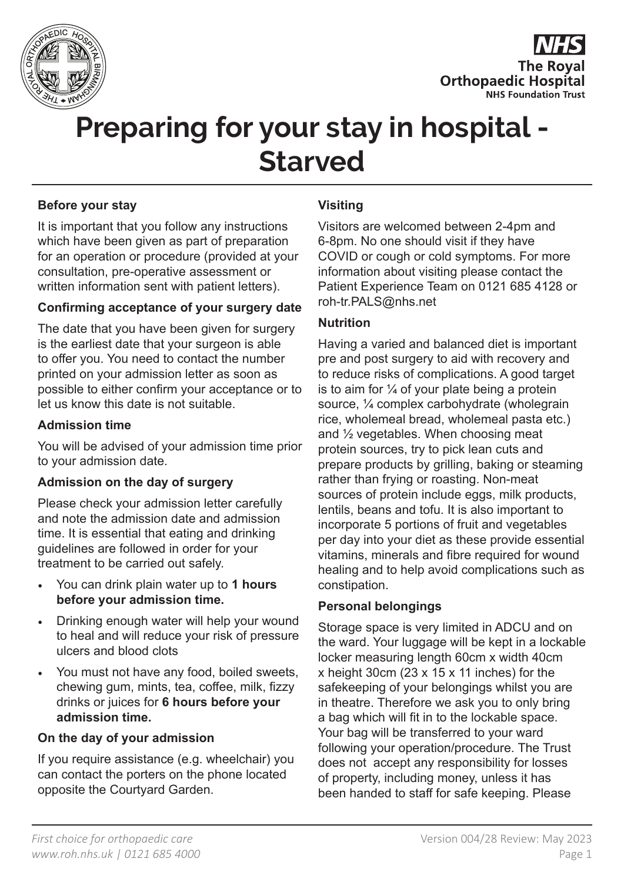



# **Preparing for your stay in hospital - Starved**

## **Before your stay**

It is important that you follow any instructions which have been given as part of preparation for an operation or procedure (provided at your consultation, pre-operative assessment or written information sent with patient letters).

#### **Confirming acceptance of your surgery date**

The date that you have been given for surgery is the earliest date that your surgeon is able to offer you. You need to contact the number printed on your admission letter as soon as possible to either confirm your acceptance or to let us know this date is not suitable.

#### **Admission time**

You will be advised of your admission time prior to your admission date.

## **Admission on the day of surgery**

Please check your admission letter carefully and note the admission date and admission time. It is essential that eating and drinking guidelines are followed in order for your treatment to be carried out safely.

- You can drink plain water up to **1 hours before your admission time.**
- Drinking enough water will help your wound to heal and will reduce your risk of pressure ulcers and blood clots
- You must not have any food, boiled sweets, chewing gum, mints, tea, coffee, milk, fizzy drinks or juices for **6 hours before your admission time.**

## **On the day of your admission**

If you require assistance (e.g. wheelchair) you can contact the porters on the phone located opposite the Courtyard Garden.

## **Visiting**

Visitors are welcomed between 2-4pm and 6-8pm. No one should visit if they have COVID or cough or cold symptoms. For more information about visiting please contact the Patient Experience Team on 0121 685 4128 or roh-tr.PALS@nhs.net

## **Nutrition**

Having a varied and balanced diet is important pre and post surgery to aid with recovery and to reduce risks of complications. A good target is to aim for  $\frac{1}{4}$  of your plate being a protein source, ¼ complex carbohydrate (wholegrain rice, wholemeal bread, wholemeal pasta etc.) and ½ vegetables. When choosing meat protein sources, try to pick lean cuts and prepare products by grilling, baking or steaming rather than frying or roasting. Non-meat sources of protein include eggs, milk products, lentils, beans and tofu. It is also important to incorporate 5 portions of fruit and vegetables per day into your diet as these provide essential vitamins, minerals and fibre required for wound healing and to help avoid complications such as constipation.

#### **Personal belongings**

Storage space is very limited in ADCU and on the ward. Your luggage will be kept in a lockable locker measuring length 60cm x width 40cm x height 30cm (23 x 15 x 11 inches) for the safekeeping of your belongings whilst you are in theatre. Therefore we ask you to only bring a bag which will fit in to the lockable space. Your bag will be transferred to your ward following your operation/procedure. The Trust does not accept any responsibility for losses of property, including money, unless it has been handed to staff for safe keeping. Please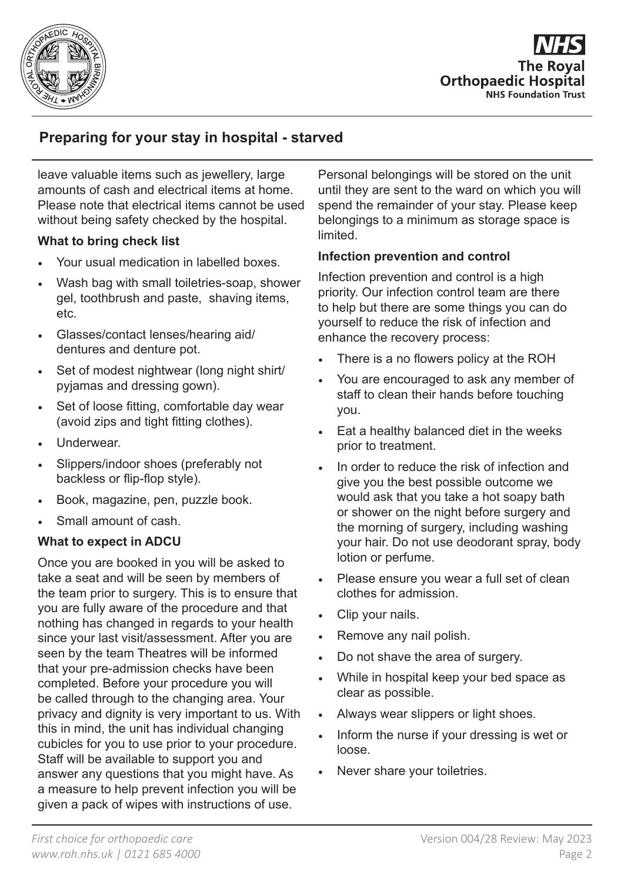

**The Roval Orthopaedic Hospital NHS Foundation Trust** 

# **Preparing for your stay in hospital - starved**

leave valuable items such as jewellery, large amounts of cash and electrical items at home. Please note that electrical items cannot be used without being safety checked by the hospital.

## **What to bring check list**

- Your usual medication in labelled boxes.
- Wash bag with small toiletries-soap, shower gel, toothbrush and paste, shaving items, etc.
- Glasses/contact lenses/hearing aid/ dentures and denture pot.
- Set of modest nightwear (long night shirt/ pyjamas and dressing gown).
- Set of loose fitting, comfortable day wear (avoid zips and tight fitting clothes).
- Underwear.
- Slippers/indoor shoes (preferably not backless or flip-flop style).
- Book, magazine, pen, puzzle book.
- Small amount of cash.

## **What to expect in ADCU**

Once you are booked in you will be asked to take a seat and will be seen by members of the team prior to surgery. This is to ensure that you are fully aware of the procedure and that nothing has changed in regards to your health since your last visit/assessment. After you are seen by the team Theatres will be informed that your pre-admission checks have been completed. Before your procedure you will be called through to the changing area. Your privacy and dignity is very important to us. With this in mind, the unit has individual changing cubicles for you to use prior to your procedure. Staff will be available to support you and answer any questions that you might have. As a measure to help prevent infection you will be given a pack of wipes with instructions of use.

Personal belongings will be stored on the unit until they are sent to the ward on which you will spend the remainder of your stay. Please keep belongings to a minimum as storage space is limited.

## **Infection prevention and control**

Infection prevention and control is a high priority. Our infection control team are there to help but there are some things you can do yourself to reduce the risk of infection and enhance the recovery process:

- There is a no flowers policy at the ROH
- You are encouraged to ask any member of staff to clean their hands before touching you.
- Eat a healthy balanced diet in the weeks prior to treatment.
- In order to reduce the risk of infection and give you the best possible outcome we would ask that you take a hot soapy bath or shower on the night before surgery and the morning of surgery, including washing your hair. Do not use deodorant spray, body lotion or perfume.
- Please ensure you wear a full set of clean clothes for admission.
- Clip your nails.
- Remove any nail polish.
- Do not shave the area of surgery.
- While in hospital keep your bed space as clear as possible.
- Always wear slippers or light shoes.
- Inform the nurse if your dressing is wet or loose.
- Never share your toiletries.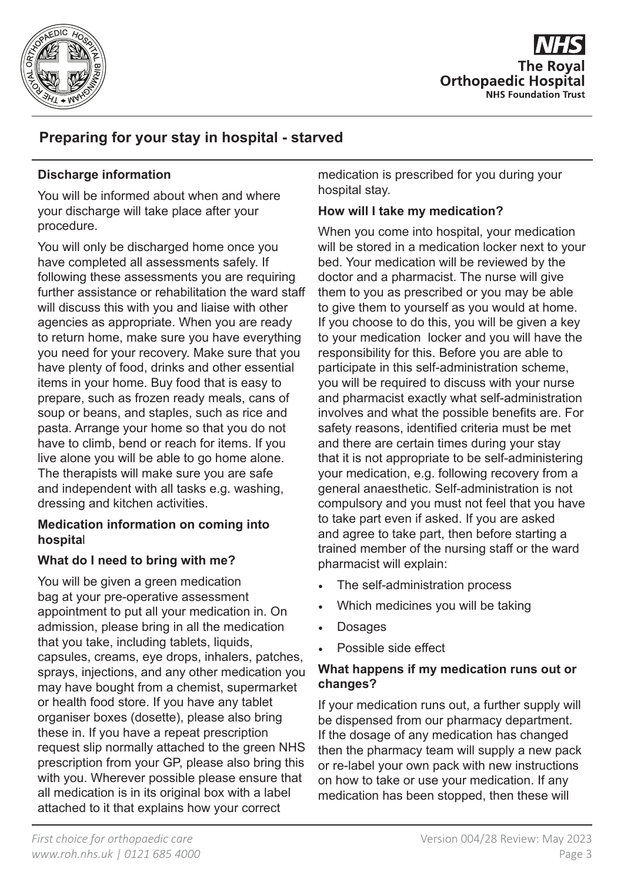



# **Preparing for your stay in hospital - starved**

## **Discharge information**

You will be informed about when and where your discharge will take place after your procedure.

You will only be discharged home once you have completed all assessments safely. If following these assessments you are requiring further assistance or rehabilitation the ward staff will discuss this with you and liaise with other agencies as appropriate. When you are ready to return home, make sure you have everything you need for your recovery. Make sure that you have plenty of food, drinks and other essential items in your home. Buy food that is easy to prepare, such as frozen ready meals, cans of soup or beans, and staples, such as rice and pasta. Arrange your home so that you do not have to climb, bend or reach for items. If you live alone you will be able to go home alone. The therapists will make sure you are safe and independent with all tasks e.g. washing, dressing and kitchen activities.

## **Medication information on coming into hospita**l

## **What do I need to bring with me?**

You will be given a green medication bag at your pre-operative assessment appointment to put all your medication in. On admission, please bring in all the medication that you take, including tablets, liquids, capsules, creams, eye drops, inhalers, patches, sprays, injections, and any other medication you may have bought from a chemist, supermarket or health food store. If you have any tablet organiser boxes (dosette), please also bring these in. If you have a repeat prescription request slip normally attached to the green NHS prescription from your GP, please also bring this with you. Wherever possible please ensure that all medication is in its original box with a label attached to it that explains how your correct

medication is prescribed for you during your hospital stay.

## **How will I take my medication?**

When you come into hospital, your medication will be stored in a medication locker next to your bed. Your medication will be reviewed by the doctor and a pharmacist. The nurse will give them to you as prescribed or you may be able to give them to yourself as you would at home. If you choose to do this, you will be given a key to your medication locker and you will have the responsibility for this. Before you are able to participate in this self-administration scheme, you will be required to discuss with your nurse and pharmacist exactly what self-administration involves and what the possible benefits are. For safety reasons, identified criteria must be met and there are certain times during your stay that it is not appropriate to be self-administering your medication, e.g. following recovery from a general anaesthetic. Self-administration is not compulsory and you must not feel that you have to take part even if asked. If you are asked and agree to take part, then before starting a trained member of the nursing staff or the ward pharmacist will explain:

- The self-administration process
- Which medicines you will be taking
- Dosages
- Possible side effect

## **What happens if my medication runs out or changes?**

If your medication runs out, a further supply will be dispensed from our pharmacy department. If the dosage of any medication has changed then the pharmacy team will supply a new pack or re-label your own pack with new instructions on how to take or use your medication. If any medication has been stopped, then these will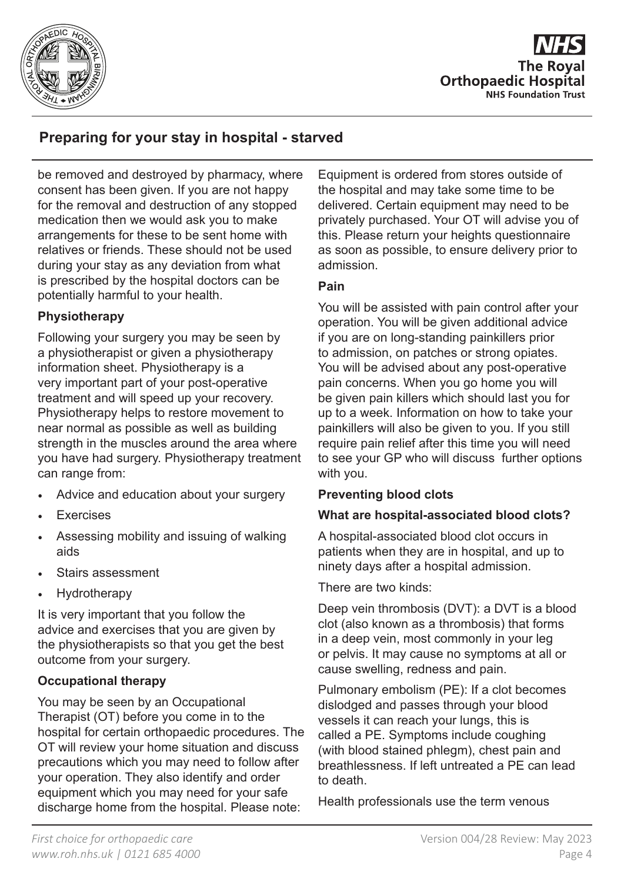



# **Preparing for your stay in hospital - starved**

be removed and destroyed by pharmacy, where consent has been given. If you are not happy for the removal and destruction of any stopped medication then we would ask you to make arrangements for these to be sent home with relatives or friends. These should not be used during your stay as any deviation from what is prescribed by the hospital doctors can be potentially harmful to your health.

## **Physiotherapy**

Following your surgery you may be seen by a physiotherapist or given a physiotherapy information sheet. Physiotherapy is a very important part of your post-operative treatment and will speed up your recovery. Physiotherapy helps to restore movement to near normal as possible as well as building strength in the muscles around the area where you have had surgery. Physiotherapy treatment can range from:

- Advice and education about your surgery
- **Exercises**
- Assessing mobility and issuing of walking aids
- Stairs assessment
- **Hydrotherapy**

It is very important that you follow the advice and exercises that you are given by the physiotherapists so that you get the best outcome from your surgery.

## **Occupational therapy**

You may be seen by an Occupational Therapist (OT) before you come in to the hospital for certain orthopaedic procedures. The OT will review your home situation and discuss precautions which you may need to follow after your operation. They also identify and order equipment which you may need for your safe discharge home from the hospital. Please note:

Equipment is ordered from stores outside of the hospital and may take some time to be delivered. Certain equipment may need to be privately purchased. Your OT will advise you of this. Please return your heights questionnaire as soon as possible, to ensure delivery prior to admission.

## **Pain**

You will be assisted with pain control after your operation. You will be given additional advice if you are on long-standing painkillers prior to admission, on patches or strong opiates. You will be advised about any post-operative pain concerns. When you go home you will be given pain killers which should last you for up to a week. Information on how to take your painkillers will also be given to you. If you still require pain relief after this time you will need to see your GP who will discuss further options with you.

## **Preventing blood clots**

## **What are hospital-associated blood clots?**

A hospital-associated blood clot occurs in patients when they are in hospital, and up to ninety days after a hospital admission.

There are two kinds:

Deep vein thrombosis (DVT): a DVT is a blood clot (also known as a thrombosis) that forms in a deep vein, most commonly in your leg or pelvis. It may cause no symptoms at all or cause swelling, redness and pain.

Pulmonary embolism (PE): If a clot becomes dislodged and passes through your blood vessels it can reach your lungs, this is called a PE. Symptoms include coughing (with blood stained phlegm), chest pain and breathlessness. If left untreated a PE can lead to death.

Health professionals use the term venous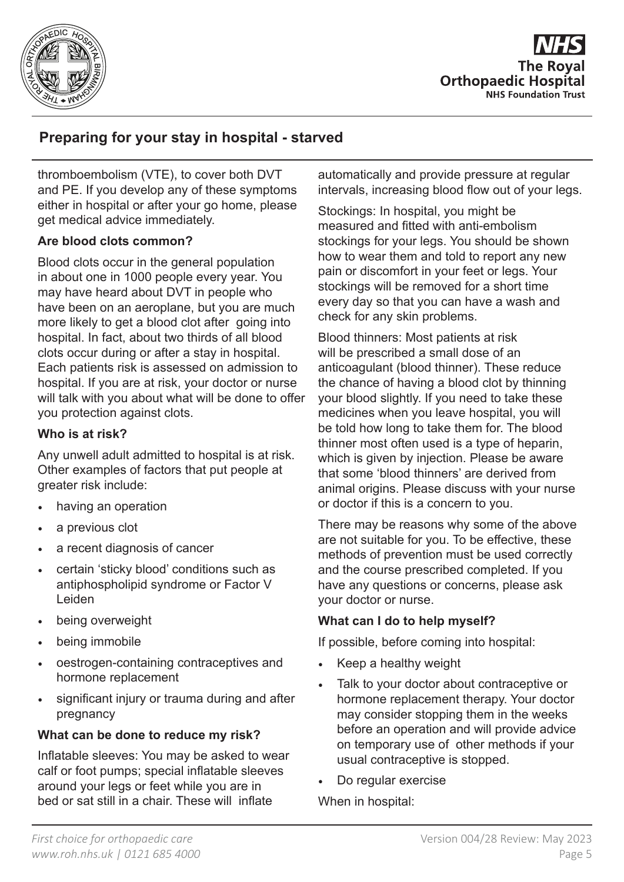

**The Roval Orthopaedic Hospital NHS Foundation Trust** 

# **Preparing for your stay in hospital - starved**

thromboembolism (VTE), to cover both DVT and PE. If you develop any of these symptoms either in hospital or after your go home, please get medical advice immediately.

## **Are blood clots common?**

Blood clots occur in the general population in about one in 1000 people every year. You may have heard about DVT in people who have been on an aeroplane, but you are much more likely to get a blood clot after going into hospital. In fact, about two thirds of all blood clots occur during or after a stay in hospital. Each patients risk is assessed on admission to hospital. If you are at risk, your doctor or nurse will talk with you about what will be done to offer you protection against clots.

## **Who is at risk?**

Any unwell adult admitted to hospital is at risk. Other examples of factors that put people at greater risk include:

- having an operation
- a previous clot
- a recent diagnosis of cancer
- certain 'sticky blood' conditions such as antiphospholipid syndrome or Factor V Leiden
- being overweight
- being immobile
- oestrogen-containing contraceptives and hormone replacement
- significant injury or trauma during and after pregnancy

## **What can be done to reduce my risk?**

Inflatable sleeves: You may be asked to wear calf or foot pumps; special inflatable sleeves around your legs or feet while you are in bed or sat still in a chair. These will inflate

automatically and provide pressure at regular intervals, increasing blood flow out of your legs.

Stockings: In hospital, you might be measured and fitted with anti-embolism stockings for your legs. You should be shown how to wear them and told to report any new pain or discomfort in your feet or legs. Your stockings will be removed for a short time every day so that you can have a wash and check for any skin problems.

Blood thinners: Most patients at risk will be prescribed a small dose of an anticoagulant (blood thinner). These reduce the chance of having a blood clot by thinning your blood slightly. If you need to take these medicines when you leave hospital, you will be told how long to take them for. The blood thinner most often used is a type of heparin, which is given by injection. Please be aware that some 'blood thinners' are derived from animal origins. Please discuss with your nurse or doctor if this is a concern to you.

There may be reasons why some of the above are not suitable for you. To be effective, these methods of prevention must be used correctly and the course prescribed completed. If you have any questions or concerns, please ask your doctor or nurse.

## **What can I do to help myself?**

If possible, before coming into hospital:

- Keep a healthy weight
- Talk to your doctor about contraceptive or hormone replacement therapy. Your doctor may consider stopping them in the weeks before an operation and will provide advice on temporary use of other methods if your usual contraceptive is stopped.
- Do regular exercise

When in hospital: